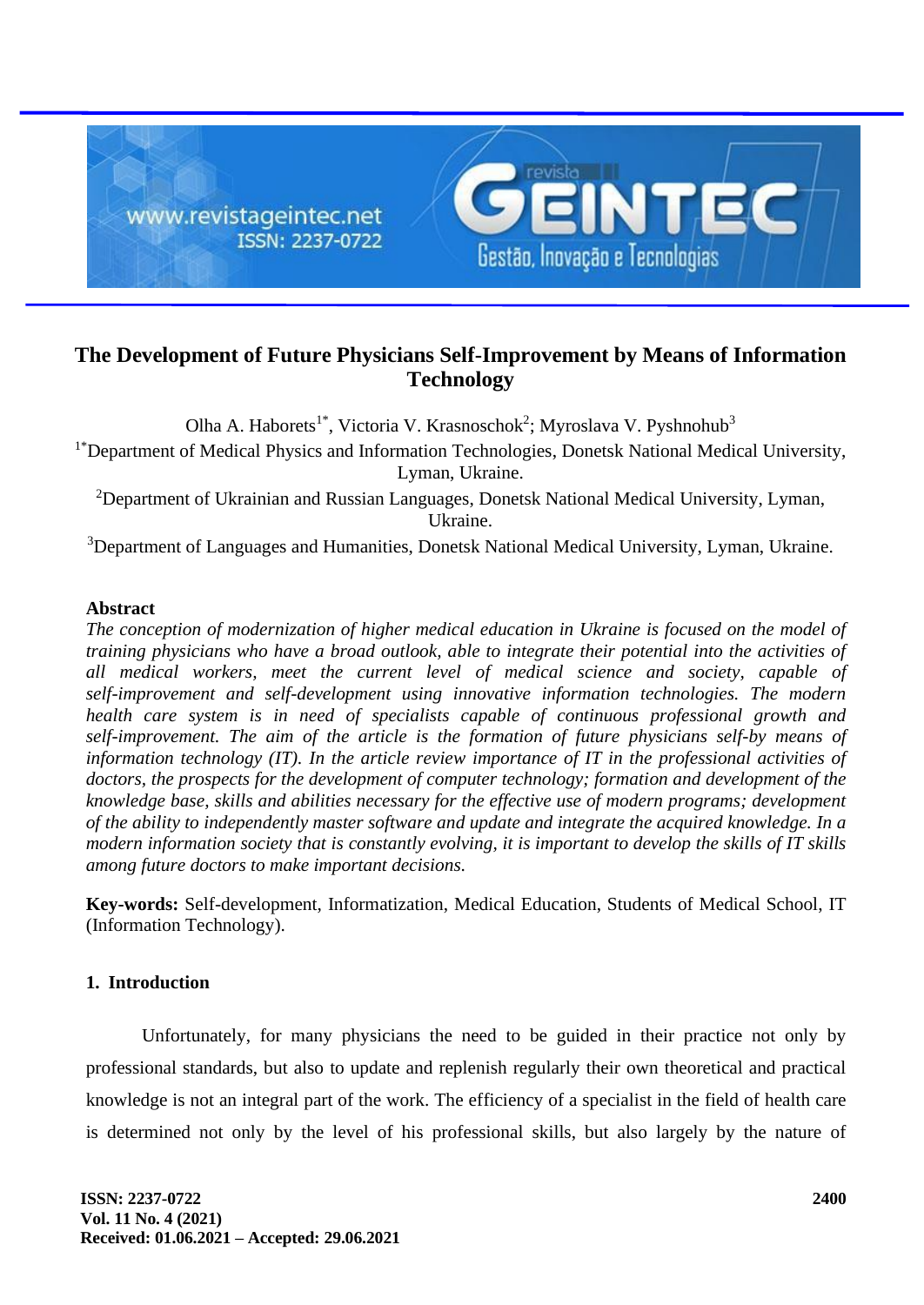

# **The Development of Future Physicians Self-Improvement by Means of Information Technology**

Olha A. Haborets<sup>1\*</sup>, Victoria V. Krasnoschok<sup>2</sup>; Myroslava V. Pyshnohub<sup>3</sup> <sup>1\*</sup>Department of Medical Physics and Information Technologies, Donetsk National Medical University, Lyman, Ukraine.

<sup>2</sup>Department of Ukrainian and Russian Languages, Donetsk National Medical University, Lyman, Ukraine.

<sup>3</sup>Department of Languages and Humanities, Donetsk National Medical University, Lyman, Ukraine.

## **Abstract**

*The conception of modernization of higher medical education in Ukraine is focused on the model of training physicians who have a broad outlook, able to integrate their potential into the activities of all medical workers, meet the current level of medical science and society, capable of self-improvement and self-development using innovative information technologies. The modern health care system is in need of specialists capable of continuous professional growth and self-improvement. The aim of the article is the formation of future physicians self-by means of information technology (IT). In the article review importance of IT in the professional activities of doctors, the prospects for the development of computer technology; formation and development of the knowledge base, skills and abilities necessary for the effective use of modern programs; development of the ability to independently master software and update and integrate the acquired knowledge. In a modern information society that is constantly evolving, it is important to develop the skills of IT skills among future doctors to make important decisions.*

**Key-words:** Self-development, Informatization, Medical Education, Students of Medical School, IT (Information Technology).

## **1. Introduction**

Unfortunately, for many physicians the need to be guided in their practice not only by professional standards, but also to update and replenish regularly their own theoretical and practical knowledge is not an integral part of the work. The efficiency of a specialist in the field of health care is determined not only by the level of his professional skills, but also largely by the nature of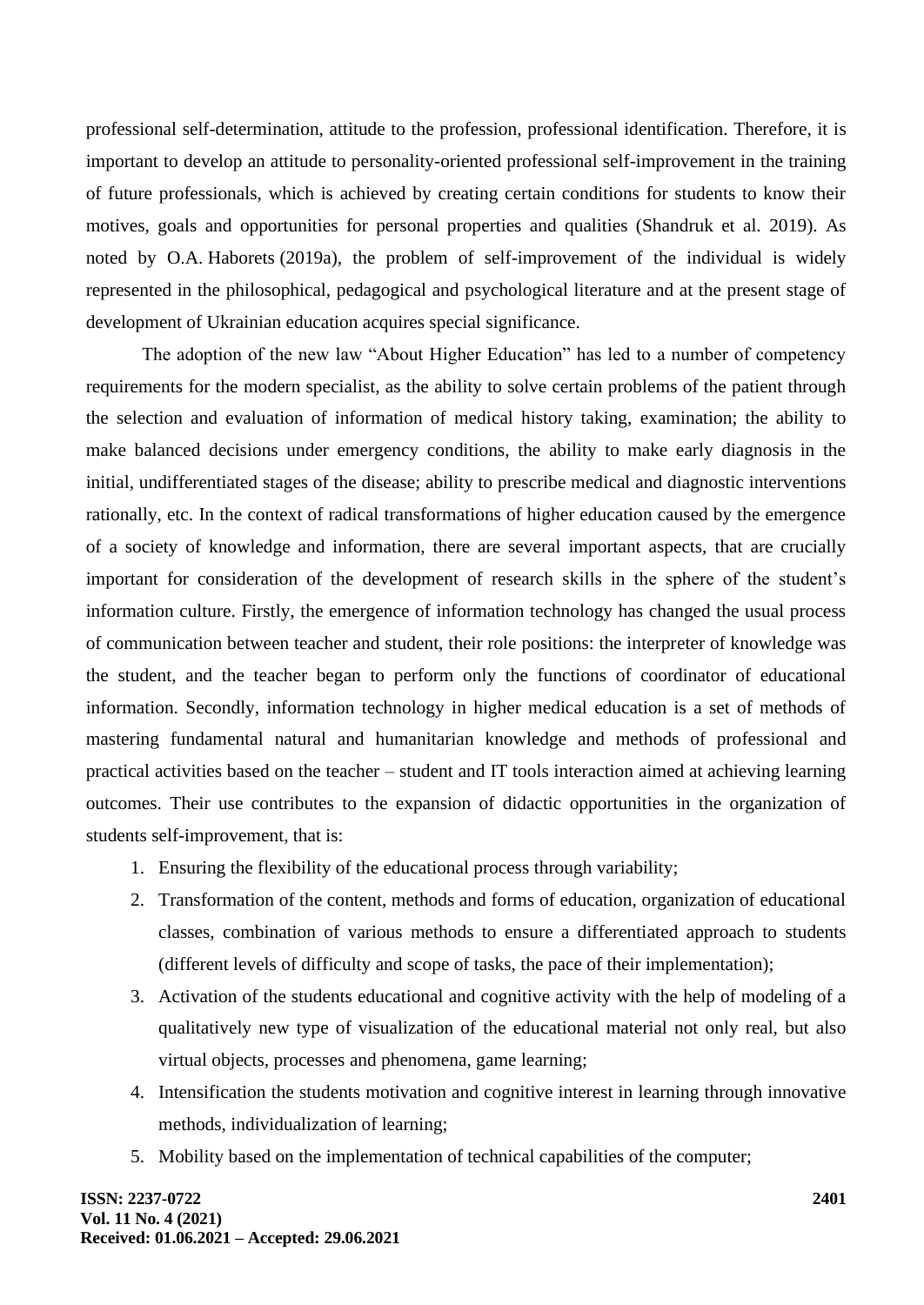professional self-determination, attitude to the profession, professional identification. Therefore, it is important to develop an attitude to personality-oriented professional self-improvement in the training of future professionals, which is achieved by creating certain conditions for students to know their motives, goals and opportunities for personal properties and qualities (Shandruk et al. 2019). As noted by O.A. Haborets (2019a), the problem of self-improvement of the individual is widely represented in the philosophical, pedagogical and psychological literature and at the present stage of development of Ukrainian education acquires special significance.

The adoption of the new law "About Higher Education" has led to a number of competency requirements for the modern specialist, as the ability to solve certain problems of the patient through the selection and evaluation of information of medical history taking, examination; the ability to make balanced decisions under emergency conditions, the ability to make early diagnosis in the initial, undifferentiated stages of the disease; ability to prescribe medical and diagnostic interventions rationally, etc. In the context of radical transformations of higher education caused by the emergence of a society of knowledge and information, there are several important aspects, that are crucially important for consideration of the development of research skills in the sphere of the student's information culture. Firstly, the emergence of information technology has changed the usual process of communication between teacher and student, their role positions: the interpreter of knowledge was the student, and the teacher began to perform only the functions of coordinator of educational information. Secondly, information technology in higher medical education is a set of methods of mastering fundamental natural and humanitarian knowledge and methods of professional and practical activities based on the teacher – student and IT tools interaction aimed at achieving learning outcomes. Their use contributes to the expansion of didactic opportunities in the organization of students self-improvement, that is:

- 1. Ensuring the flexibility of the educational process through variability;
- 2. Transformation of the content, methods and forms of education, organization of educational classes, combination of various methods to ensure a differentiated approach to students (different levels of difficulty and scope of tasks, the pace of their implementation);
- 3. Activation of the students educational and cognitive activity with the help of modeling of a qualitatively new type of visualization of the educational material not only real, but also virtual objects, processes and phenomena, game learning;
- 4. Intensification the students motivation and cognitive interest in learning through innovative methods, individualization of learning;
- 5. Mobility based on the implementation of technical capabilities of the computer;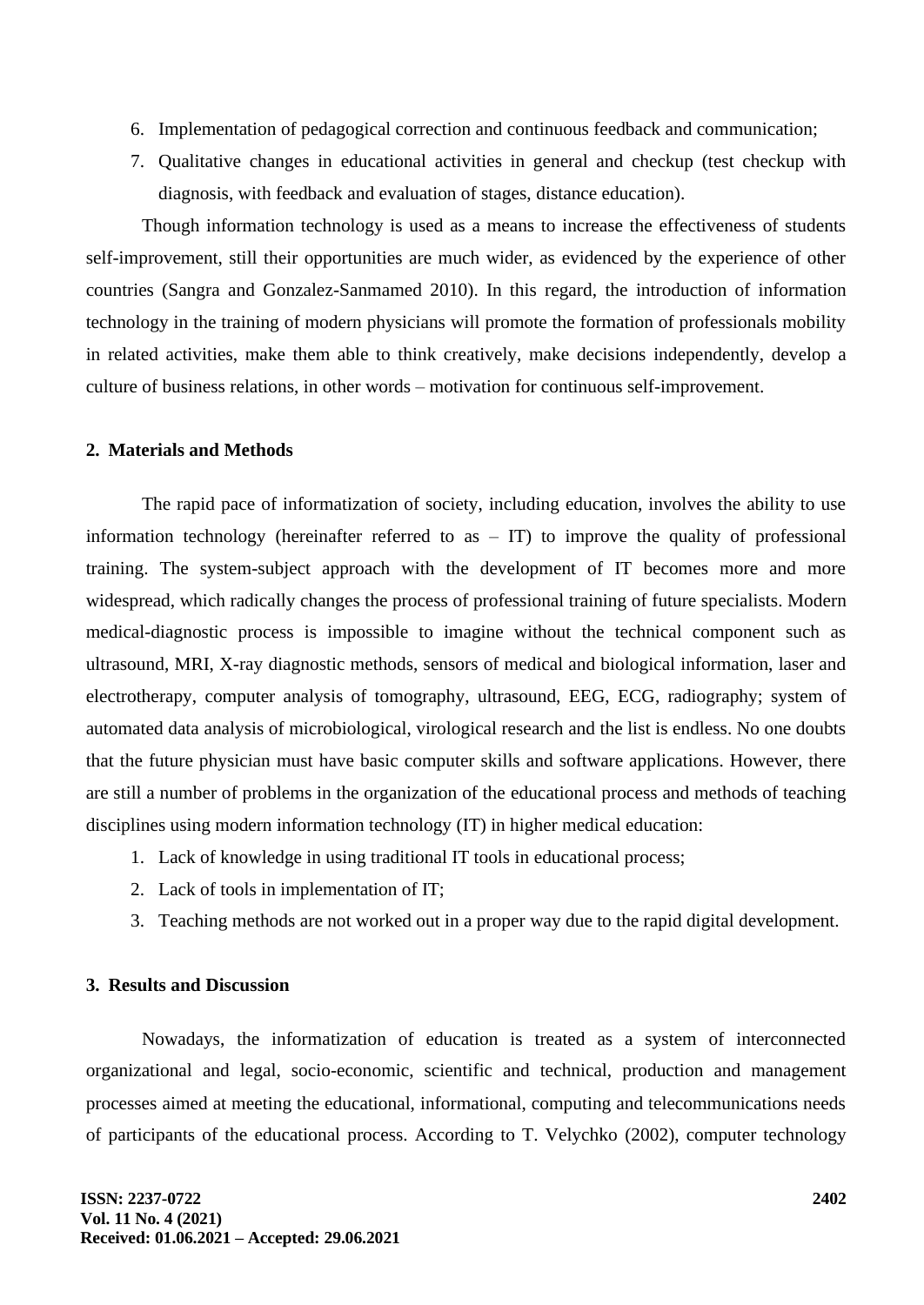- 6. Implementation of pedagogical correction and continuous feedback and communication;
- 7. Qualitative changes in educational activities in general and checkup (test checkup with diagnosis, with feedback and evaluation of stages, distance education).

Though information technology is used as a means to increase the effectiveness of students self-improvement, still their opportunities are much wider, as evidenced by the experience of other countries (Sangra and Gonzalez-Sanmamed 2010). In this regard, the introduction of information technology in the training of modern physicians will promote the formation of professionals mobility in related activities, make them able to think creatively, make decisions independently, develop a culture of business relations, in other words – motivation for continuous self-improvement.

#### **2. Materials and Methods**

The rapid pace of informatization of society, including education, involves the ability to use information technology (hereinafter referred to as  $-$  IT) to improve the quality of professional training. The system-subject approach with the development of IT becomes more and more widespread, which radically changes the process of professional training of future specialists. Modern medical-diagnostic process is impossible to imagine without the technical component such as ultrasound, MRI, X-ray diagnostic methods, sensors of medical and biological information, laser and electrotherapy, computer analysis of tomography, ultrasound, EEG, ECG, radiography; system of automated data analysis of microbiological, virological research and the list is endless. No one doubts that the future physician must have basic computer skills and software applications. However, there are still a number of problems in the organization of the educational process and methods of teaching disciplines using modern information technology (IT) in higher medical education:

- 1. Lack of knowledge in using traditional IT tools in educational process;
- 2. Lack of tools in implementation of IT;
- 3. Teaching methods are not worked out in a proper way due to the rapid digital development.

#### **3. Results and Discussion**

Nowadays, the informatization of education is treated as a system of interconnected organizational and legal, socio-economic, scientific and technical, production and management processes aimed at meeting the educational, informational, computing and telecommunications needs of participants of the educational process. According to T. Velychko (2002), computer technology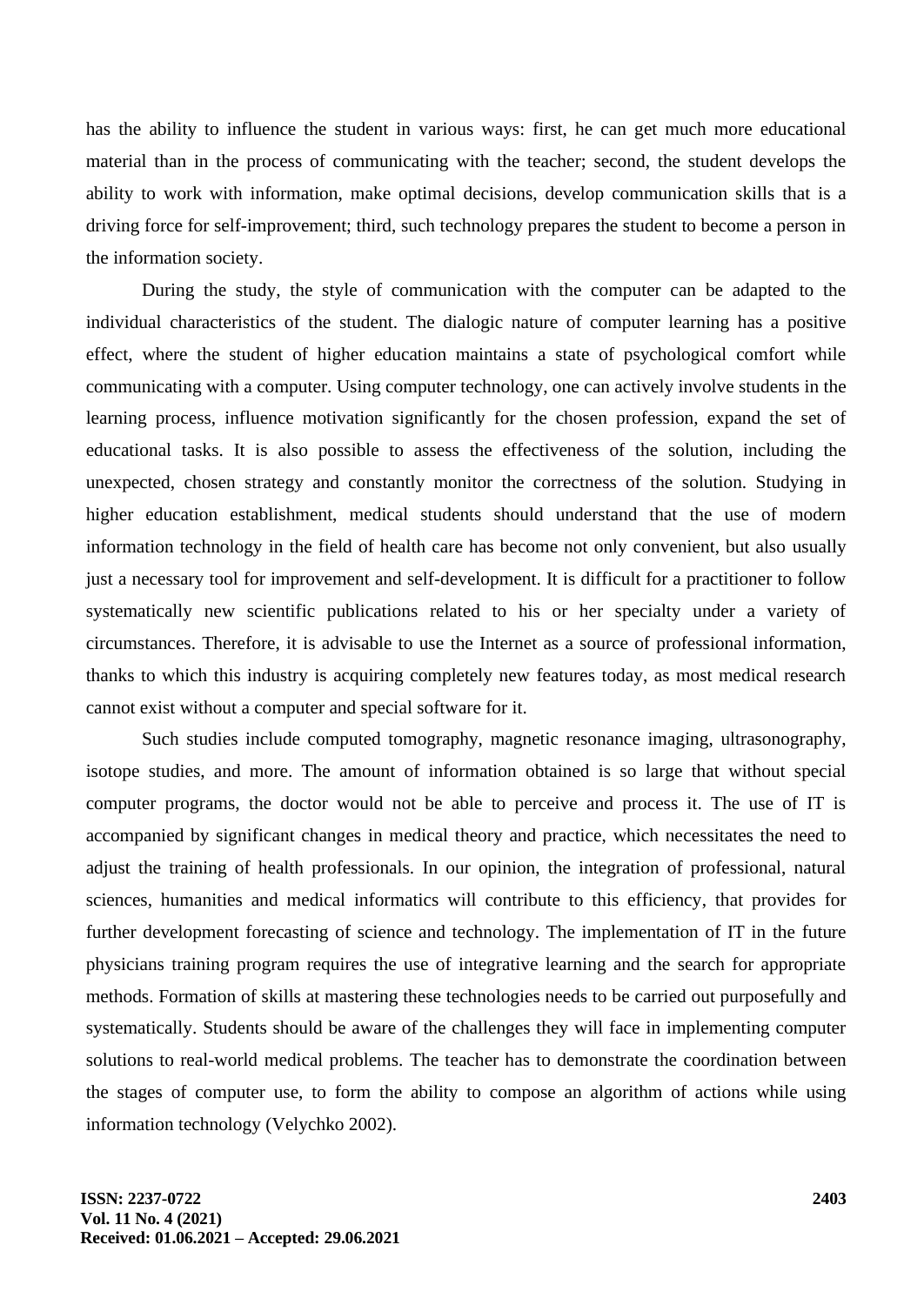has the ability to influence the student in various ways: first, he can get much more educational material than in the process of communicating with the teacher; second, the student develops the ability to work with information, make optimal decisions, develop communication skills that is a driving force for self-improvement; third, such technology prepares the student to become a person in the information society.

During the study, the style of communication with the computer can be adapted to the individual characteristics of the student. The dialogic nature of computer learning has a positive effect, where the student of higher education maintains a state of psychological comfort while communicating with a computer. Using computer technology, one can actively involve students in the learning process, influence motivation significantly for the chosen profession, expand the set of educational tasks. It is also possible to assess the effectiveness of the solution, including the unexpected, chosen strategy and constantly monitor the correctness of the solution. Studying in higher education establishment, medical students should understand that the use of modern information technology in the field of health care has become not only convenient, but also usually just a necessary tool for improvement and self-development. It is difficult for a practitioner to follow systematically new scientific publications related to his or her specialty under a variety of circumstances. Therefore, it is advisable to use the Internet as a source of professional information, thanks to which this industry is acquiring completely new features today, as most medical research cannot exist without a computer and special software for it.

Such studies include computed tomography, magnetic resonance imaging, ultrasonography, isotope studies, and more. The amount of information obtained is so large that without special computer programs, the doctor would not be able to perceive and process it. The use of IT is accompanied by significant changes in medical theory and practice, which necessitates the need to adjust the training of health professionals. In our opinion, the integration of professional, natural sciences, humanities and medical informatics will contribute to this efficiency, that provides for further development forecasting of science and technology. The implementation of IT in the future physicians training program requires the use of integrative learning and the search for appropriate methods. Formation of skills at mastering these technologies needs to be carried out purposefully and systematically. Students should be aware of the challenges they will face in implementing computer solutions to real-world medical problems. The teacher has to demonstrate the coordination between the stages of computer use, to form the ability to compose an algorithm of actions while using information technology (Velychko 2002).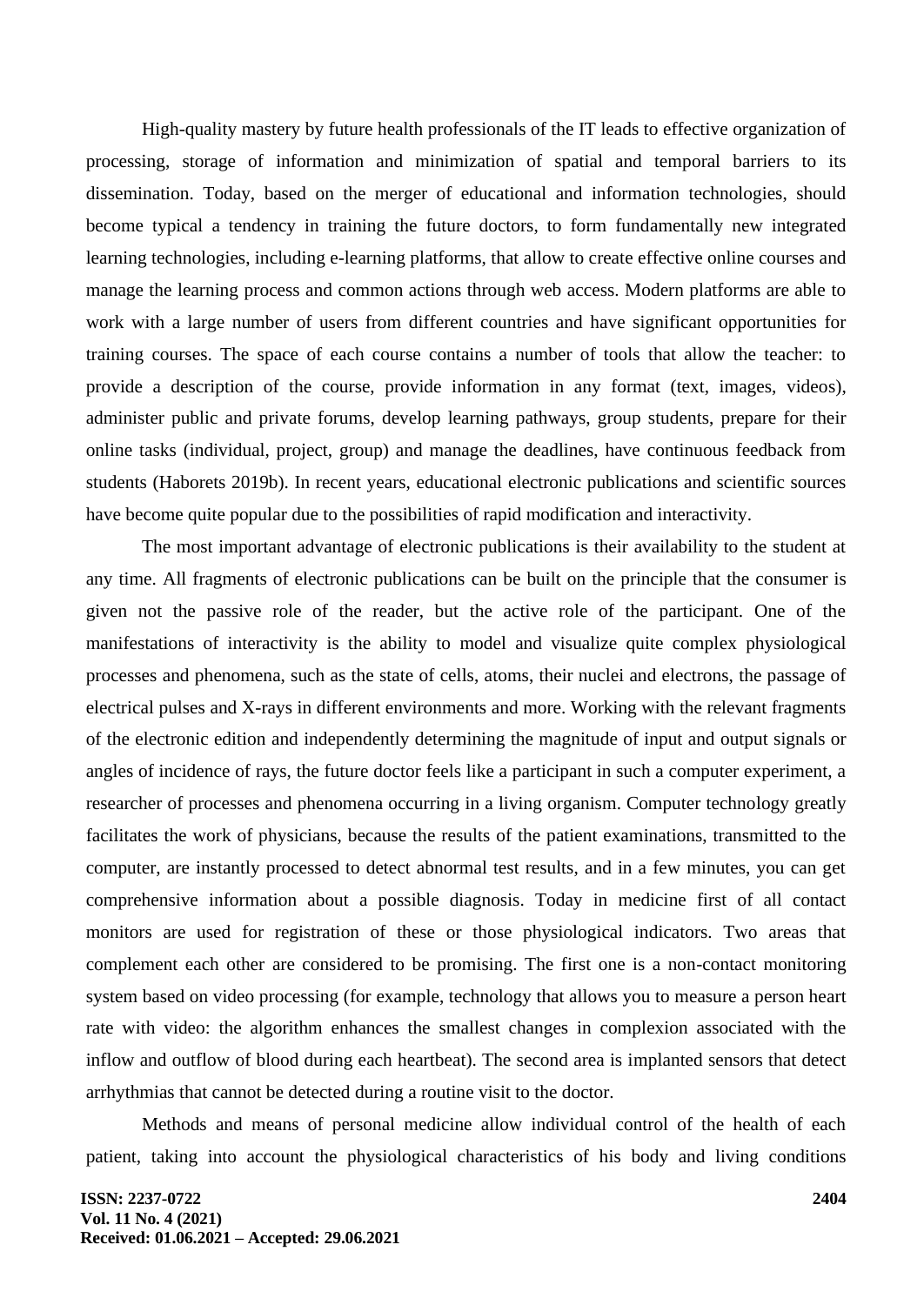High-quality mastery by future health professionals of the IT leads to effective organization of processing, storage of information and minimization of spatial and temporal barriers to its dissemination. Today, based on the merger of educational and information technologies, should become typical a tendency in training the future doctors, to form fundamentally new integrated learning technologies, including e-learning platforms, that allow to create effective online courses and manage the learning process and common actions through web access. Modern platforms are able to work with a large number of users from different countries and have significant opportunities for training courses. The space of each course contains a number of tools that allow the teacher: to provide a description of the course, provide information in any format (text, images, videos), administer public and private forums, develop learning pathways, group students, prepare for their online tasks (individual, project, group) and manage the deadlines, have continuous feedback from students (Haborets 2019b). In recent years, educational electronic publications and scientific sources have become quite popular due to the possibilities of rapid modification and interactivity.

The most important advantage of electronic publications is their availability to the student at any time. All fragments of electronic publications can be built on the principle that the consumer is given not the passive role of the reader, but the active role of the participant. One of the manifestations of interactivity is the ability to model and visualize quite complex physiological processes and phenomena, such as the state of cells, atoms, their nuclei and electrons, the passage of electrical pulses and X-rays in different environments and more. Working with the relevant fragments of the electronic edition and independently determining the magnitude of input and output signals or angles of incidence of rays, the future doctor feels like a participant in such a computer experiment, a researcher of processes and phenomena occurring in a living organism. Computer technology greatly facilitates the work of physicians, because the results of the patient examinations, transmitted to the computer, are instantly processed to detect abnormal test results, and in a few minutes, you can get comprehensive information about a possible diagnosis. Today in medicine first of all contact monitors are used for registration of these or those physiological indicators. Two areas that complement each other are considered to be promising. The first one is a non-contact monitoring system based on video processing (for example, technology that allows you to measure a person heart rate with video: the algorithm enhances the smallest changes in complexion associated with the inflow and outflow of blood during each heartbeat). The second area is implanted sensors that detect arrhythmias that cannot be detected during a routine visit to the doctor.

Methods and means of personal medicine allow individual control of the health of each patient, taking into account the physiological characteristics of his body and living conditions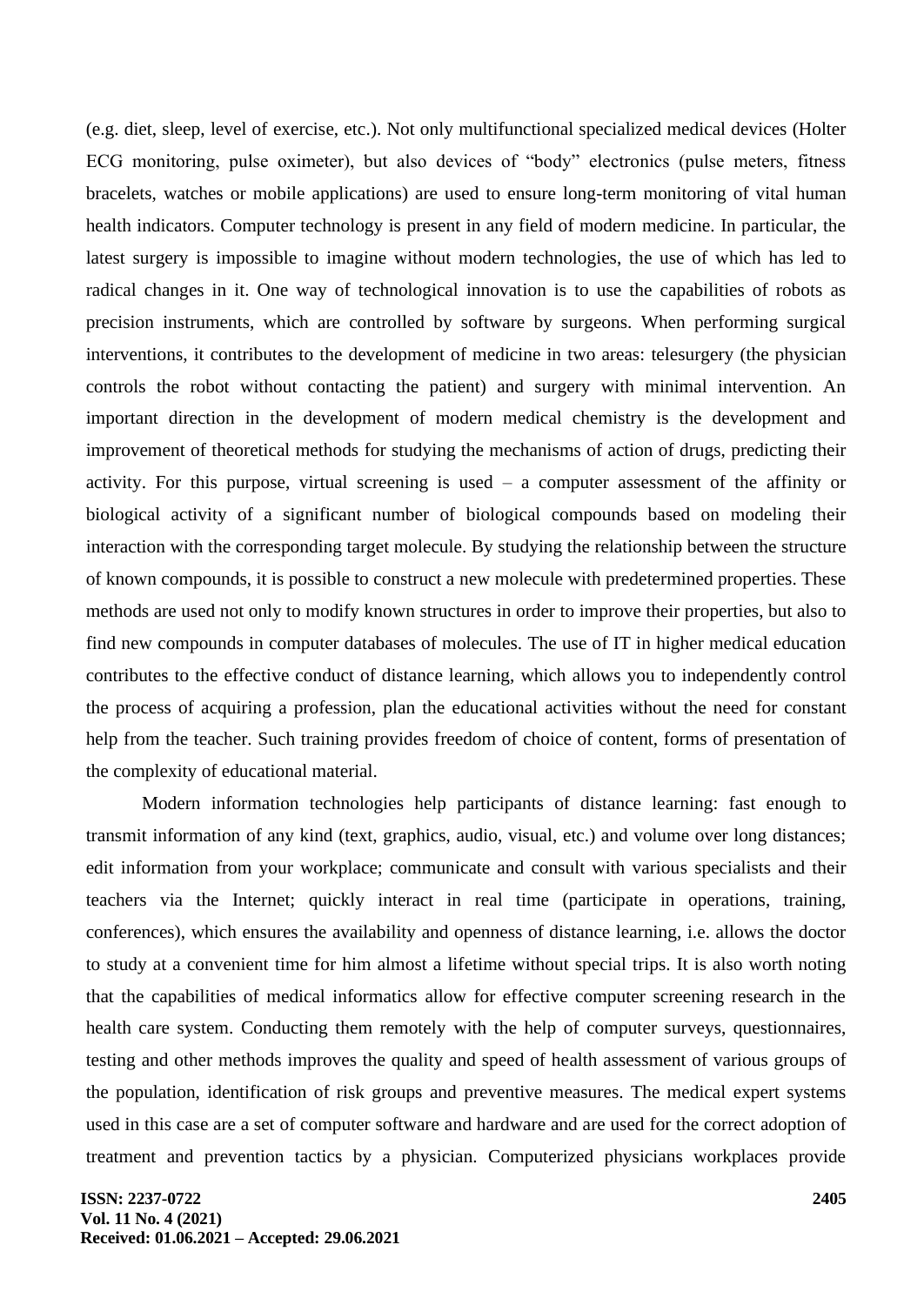(e.g. diet, sleep, level of exercise, etc.). Not only multifunctional specialized medical devices (Holter ECG monitoring, pulse oximeter), but also devices of "body" electronics (pulse meters, fitness bracelets, watches or mobile applications) are used to ensure long-term monitoring of vital human health indicators. Computer technology is present in any field of modern medicine. In particular, the latest surgery is impossible to imagine without modern technologies, the use of which has led to radical changes in it. One way of technological innovation is to use the capabilities of robots as precision instruments, which are controlled by software by surgeons. When performing surgical interventions, it contributes to the development of medicine in two areas: telesurgery (the physician controls the robot without contacting the patient) and surgery with minimal intervention. An important direction in the development of modern medical chemistry is the development and improvement of theoretical methods for studying the mechanisms of action of drugs, predicting their activity. For this purpose, virtual screening is used – a computer assessment of the affinity or biological activity of a significant number of biological compounds based on modeling their interaction with the corresponding target molecule. By studying the relationship between the structure of known compounds, it is possible to construct a new molecule with predetermined properties. These methods are used not only to modify known structures in order to improve their properties, but also to find new compounds in computer databases of molecules. The use of IT in higher medical education contributes to the effective conduct of distance learning, which allows you to independently control the process of acquiring a profession, plan the educational activities without the need for constant help from the teacher. Such training provides freedom of choice of content, forms of presentation of the complexity of educational material.

Modern information technologies help participants of distance learning: fast enough to transmit information of any kind (text, graphics, audio, visual, etc.) and volume over long distances; edit information from your workplace; communicate and consult with various specialists and their teachers via the Internet; quickly interact in real time (participate in operations, training, conferences), which ensures the availability and openness of distance learning, i.e. allows the doctor to study at a convenient time for him almost a lifetime without special trips. It is also worth noting that the capabilities of medical informatics allow for effective computer screening research in the health care system. Conducting them remotely with the help of computer surveys, questionnaires, testing and other methods improves the quality and speed of health assessment of various groups of the population, identification of risk groups and preventive measures. The medical expert systems used in this case are a set of computer software and hardware and are used for the correct adoption of treatment and prevention tactics by a physician. Computerized physicians workplaces provide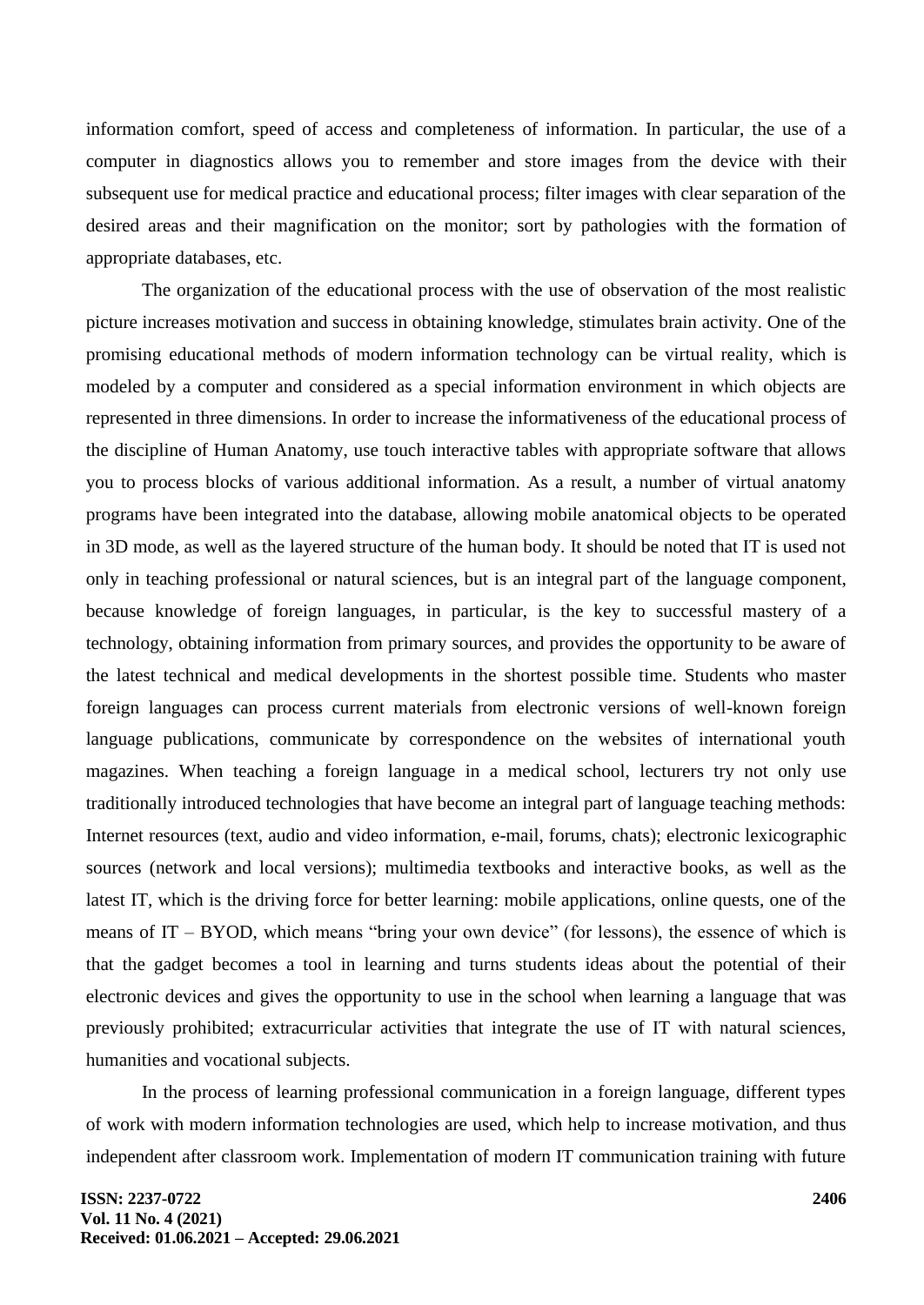information comfort, speed of access and completeness of information. In particular, the use of a computer in diagnostics allows you to remember and store images from the device with their subsequent use for medical practice and educational process; filter images with clear separation of the desired areas and their magnification on the monitor; sort by pathologies with the formation of appropriate databases, etc.

The organization of the educational process with the use of observation of the most realistic picture increases motivation and success in obtaining knowledge, stimulates brain activity. One of the promising educational methods of modern information technology can be virtual reality, which is modeled by a computer and considered as a special information environment in which objects are represented in three dimensions. In order to increase the informativeness of the educational process of the discipline of Human Anatomy, use touch interactive tables with appropriate software that allows you to process blocks of various additional information. As a result, a number of virtual anatomy programs have been integrated into the database, allowing mobile anatomical objects to be operated in 3D mode, as well as the layered structure of the human body. It should be noted that IT is used not only in teaching professional or natural sciences, but is an integral part of the language component, because knowledge of foreign languages, in particular, is the key to successful mastery of a technology, obtaining information from primary sources, and provides the opportunity to be aware of the latest technical and medical developments in the shortest possible time. Students who master foreign languages can process current materials from electronic versions of well-known foreign language publications, communicate by correspondence on the websites of international youth magazines. When teaching a foreign language in a medical school, lecturers try not only use traditionally introduced technologies that have become an integral part of language teaching methods: Internet resources (text, audio and video information, e-mail, forums, chats); electronic lexicographic sources (network and local versions); multimedia textbooks and interactive books, as well as the latest IT, which is the driving force for better learning: mobile applications, online quests, one of the means of IT – BYOD, which means "bring your own device" (for lessons), the essence of which is that the gadget becomes a tool in learning and turns students ideas about the potential of their electronic devices and gives the opportunity to use in the school when learning a language that was previously prohibited; extracurricular activities that integrate the use of IT with natural sciences, humanities and vocational subjects.

In the process of learning professional communication in a foreign language, different types of work with modern information technologies are used, which help to increase motivation, and thus independent after classroom work. Implementation of modern IT communication training with future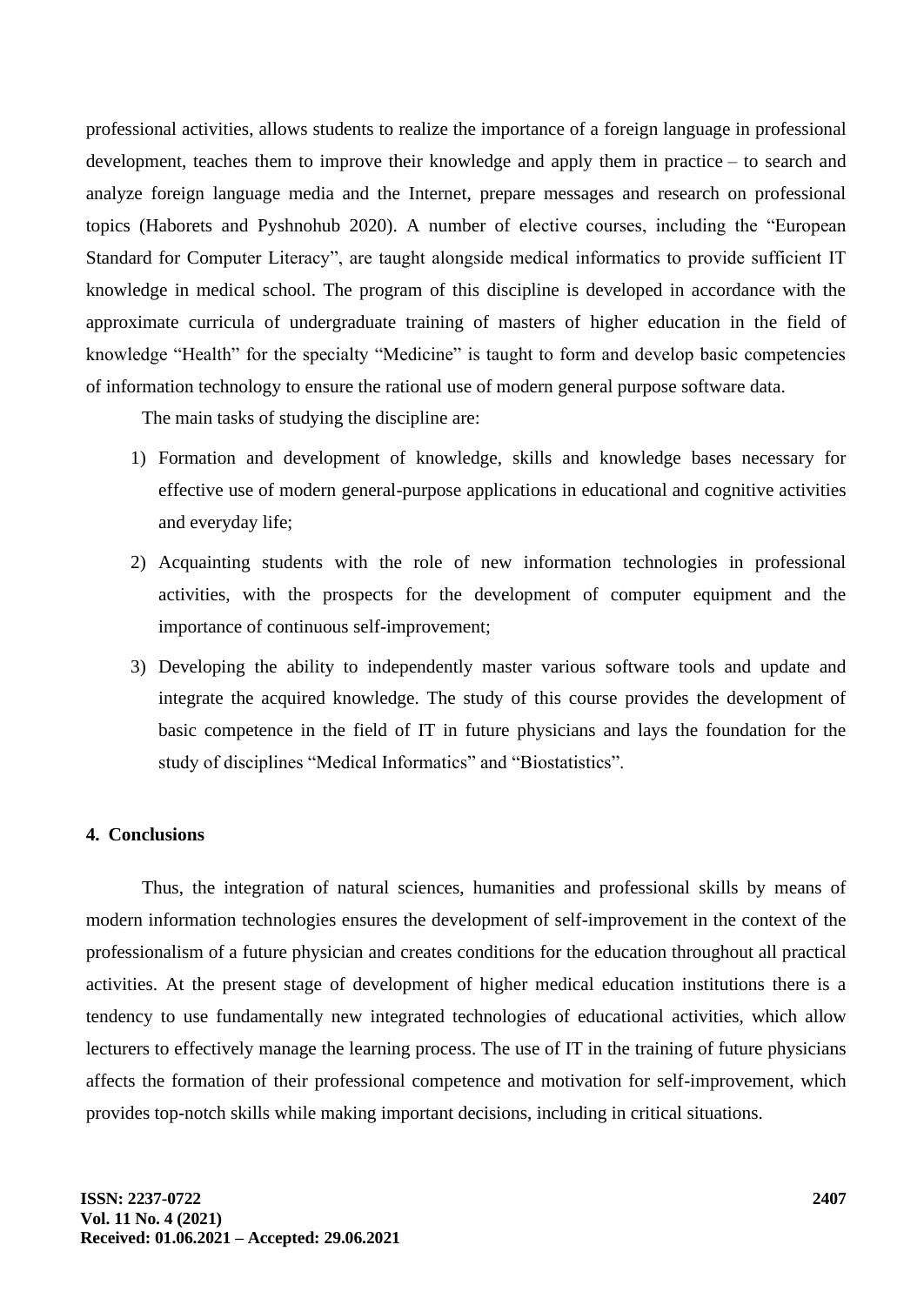professional activities, allows students to realize the importance of a foreign language in professional development, teaches them to improve their knowledge and apply them in practice – to search and analyze foreign language media and the Internet, prepare messages and research on professional topics (Haborets and Pyshnohub 2020). A number of elective courses, including the "European Standard for Computer Literacy", are taught alongside medical informatics to provide sufficient IT knowledge in medical school. The program of this discipline is developed in accordance with the approximate curricula of undergraduate training of masters of higher education in the field of knowledge "Health" for the specialty "Medicine" is taught to form and develop basic competencies of information technology to ensure the rational use of modern general purpose software data.

The main tasks of studying the discipline are:

- 1) Formation and development of knowledge, skills and knowledge bases necessary for effective use of modern general-purpose applications in educational and cognitive activities and everyday life;
- 2) Acquainting students with the role of new information technologies in professional activities, with the prospects for the development of computer equipment and the importance of continuous self-improvement;
- 3) Developing the ability to independently master various software tools and update and integrate the acquired knowledge. The study of this course provides the development of basic competence in the field of IT in future physicians and lays the foundation for the study of disciplines "Medical Informatics" and "Biostatistics".

#### **4. Conclusions**

Thus, the integration of natural sciences, humanities and professional skills by means of modern information technologies ensures the development of self-improvement in the context of the professionalism of a future physician and creates conditions for the education throughout all practical activities. At the present stage of development of higher medical education institutions there is a tendency to use fundamentally new integrated technologies of educational activities, which allow lecturers to effectively manage the learning process. The use of IT in the training of future physicians affects the formation of their professional competence and motivation for self-improvement, which provides top-notch skills while making important decisions, including in critical situations.